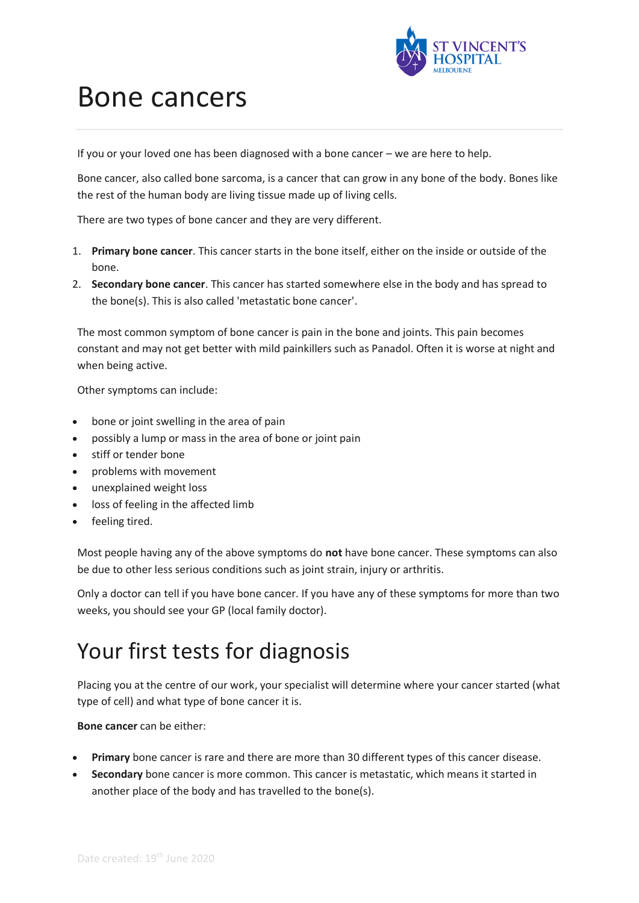

# Bone cancers

If you or your loved one has been diagnosed with a bone cancer – we are here to help.

Bone cancer, also called bone sarcoma, is a cancer that can grow in any bone of the body. Bones like the rest of the human body are living tissue made up of living cells.

There are two types of bone cancer and they are very different.

- 1. **Primary bone cancer**. This cancer starts in the bone itself, either on the inside or outside of the bone.
- 2. **Secondary bone cancer**. This cancer has started somewhere else in the body and has spread to the bone(s). This is also called 'metastatic bone cancer'.

The most common symptom of bone cancer is pain in the bone and joints. This pain becomes constant and may not get better with mild painkillers such as Panadol. Often it is worse at night and when being active.

Other symptoms can include:

- bone or joint swelling in the area of pain
- possibly a lump or mass in the area of bone or joint pain
- stiff or tender bone
- problems with movement
- unexplained weight loss
- loss of feeling in the affected limb
- feeling tired.

Most people having any of the above symptoms do **not** have bone cancer. These symptoms can also be due to other less serious conditions such as joint strain, injury or arthritis.

Only a doctor can tell if you have bone cancer. If you have any of these symptoms for more than two weeks, you should see your GP (local family doctor).

# Your first tests for diagnosis

Placing you at the centre of our work, your specialist will determine where your cancer started (what type of cell) and what type of bone cancer it is.

**Bone cancer** can be either:

- **Primary** bone cancer is rare and there are more than 30 different types of this cancer disease.
- **Secondary** bone cancer is more common. This cancer is metastatic, which means it started in another place of the body and has travelled to the bone(s).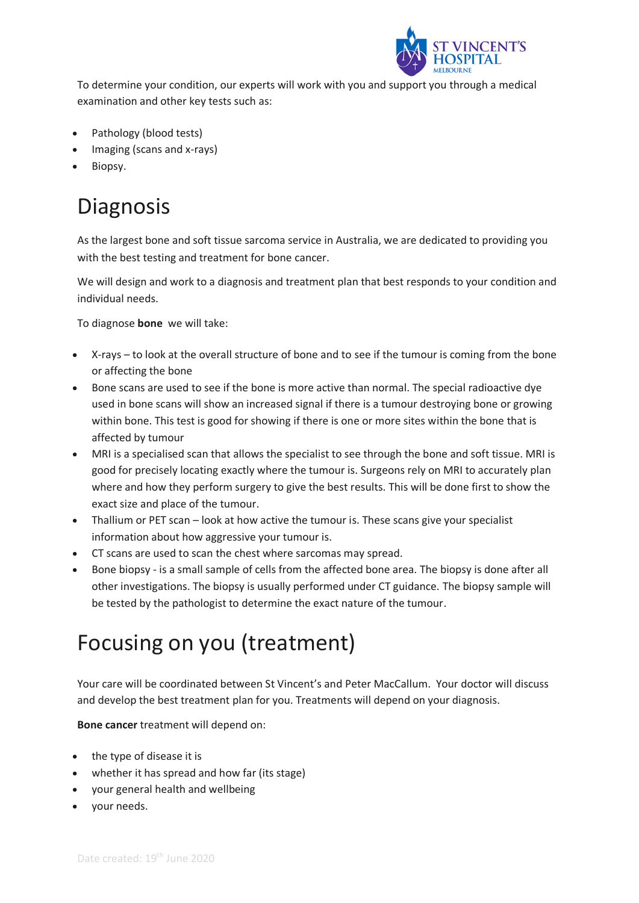

To determine your condition, our experts will work with you and support you through a medical examination and other key tests such as:

- Pathology (blood tests)
- Imaging (scans and x-rays)
- Biopsy.

# Diagnosis

As the largest bone and soft tissue sarcoma service in Australia, we are dedicated to providing you with the best testing and treatment for bone cancer.

We will design and work to a diagnosis and treatment plan that best responds to your condition and individual needs.

To diagnose **bone** we will take:

- X-rays to look at the overall structure of bone and to see if the tumour is coming from the bone or affecting the bone
- Bone scans are used to see if the bone is more active than normal. The special radioactive dye used in bone scans will show an increased signal if there is a tumour destroying bone or growing within bone. This test is good for showing if there is one or more sites within the bone that is affected by tumour
- MRI is a specialised scan that allows the specialist to see through the bone and soft tissue. MRI is good for precisely locating exactly where the tumour is. Surgeons rely on MRI to accurately plan where and how they perform surgery to give the best results. This will be done first to show the exact size and place of the tumour.
- Thallium or PET scan look at how active the tumour is. These scans give your specialist information about how aggressive your tumour is.
- CT scans are used to scan the chest where sarcomas may spread.
- Bone biopsy is a small sample of cells from the affected bone area. The biopsy is done after all other investigations. The biopsy is usually performed under CT guidance. The biopsy sample will be tested by the pathologist to determine the exact nature of the tumour.

# Focusing on you (treatment)

Your care will be coordinated between St Vincent's and Peter MacCallum. Your doctor will discuss and develop the best treatment plan for you. Treatments will depend on your diagnosis.

**Bone cancer** treatment will depend on:

- the type of disease it is
- whether it has spread and how far (its stage)
- your general health and wellbeing
- your needs.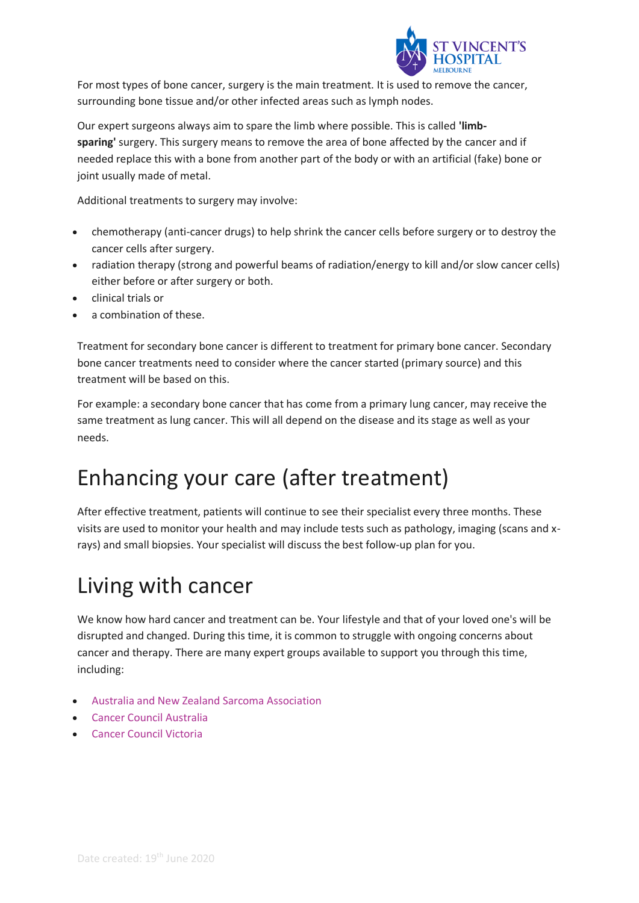

For most types of bone cancer, surgery is the main treatment. It is used to remove the cancer, surrounding bone tissue and/or other infected areas such as lymph nodes.

Our expert surgeons always aim to spare the limb where possible. This is called **'limbsparing'** surgery. This surgery means to remove the area of bone affected by the cancer and if needed replace this with a bone from another part of the body or with an artificial (fake) bone or joint usually made of metal.

Additional treatments to surgery may involve:

- chemotherapy (anti-cancer drugs) to help shrink the cancer cells before surgery or to destroy the cancer cells after surgery.
- radiation therapy (strong and powerful beams of radiation/energy to kill and/or slow cancer cells) either before or after surgery or both.
- clinical trials or
- a combination of these.

Treatment for secondary bone cancer is different to treatment for primary bone cancer. Secondary bone cancer treatments need to consider where the cancer started (primary source) and this treatment will be based on this.

For example: a secondary bone cancer that has come from a primary lung cancer, may receive the same treatment as lung cancer. This will all depend on the disease and its stage as well as your needs.

#### Enhancing your care (after treatment)

After effective treatment, patients will continue to see their specialist every three months. These visits are used to monitor your health and may include tests such as pathology, imaging (scans and xrays) and small biopsies. Your specialist will discuss the best follow-up plan for you.

#### Living with cancer

We know how hard cancer and treatment can be. Your lifestyle and that of your loved one's will be disrupted and changed. During this time, it is common to struggle with ongoing concerns about cancer and therapy. There are many expert groups available to support you through this time, including:

- [Australia and New Zealand Sarcoma Association](https://sarcoma.org.au/)
- [Cancer Council Australia](http://www.cancer.org.au/)
- [Cancer Council Victoria](http://www.cancervic.org.au/how-we-can-help)